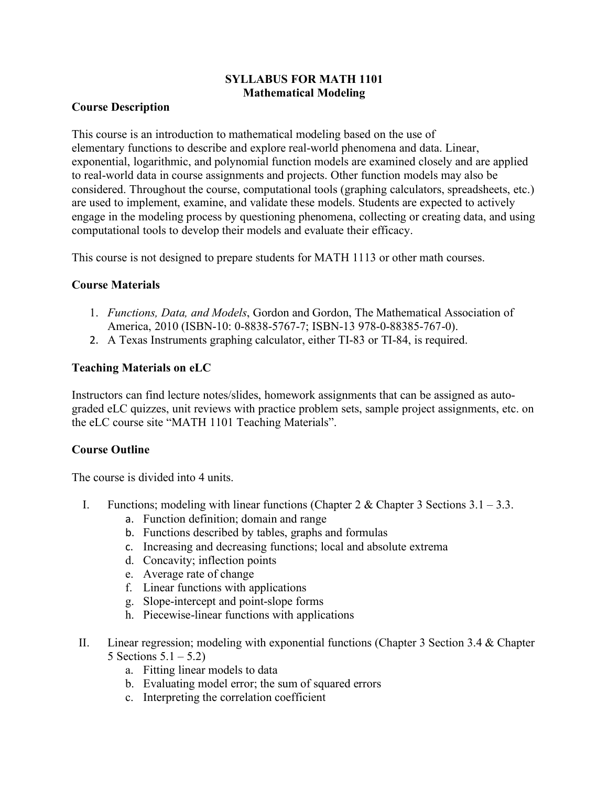# **SYLLABUS FOR MATH 1101 Mathematical Modeling**

#### **Course Description**

This course is an introduction to mathematical modeling based on the use of elementary functions to describe and explore real-world phenomena and data. Linear, exponential, logarithmic, and polynomial function models are examined closely and are applied to real-world data in course assignments and projects. Other function models may also be considered. Throughout the course, computational tools (graphing calculators, spreadsheets, etc.) are used to implement, examine, and validate these models. Students are expected to actively engage in the modeling process by questioning phenomena, collecting or creating data, and using computational tools to develop their models and evaluate their efficacy.

This course is not designed to prepare students for MATH 1113 or other math courses.

## **Course Materials**

- 1. *Functions, Data, and Models*, Gordon and Gordon, The Mathematical Association of America, 2010 (ISBN-10: 0-8838-5767-7; ISBN-13 978-0-88385-767-0).
- 2. A Texas Instruments graphing calculator, either TI-83 or TI-84, is required.

#### **Teaching Materials on eLC**

Instructors can find lecture notes/slides, homework assignments that can be assigned as autograded eLC quizzes, unit reviews with practice problem sets, sample project assignments, etc. on the eLC course site "MATH 1101 Teaching Materials".

## **Course Outline**

The course is divided into 4 units.

- I. Functions; modeling with linear functions (Chapter 2 & Chapter 3 Sections  $3.1 3.3$ .
	- a. Function definition; domain and range
	- b. Functions described by tables, graphs and formulas
	- c. Increasing and decreasing functions; local and absolute extrema
	- d. Concavity; inflection points
	- e. Average rate of change
	- f. Linear functions with applications
	- g. Slope-intercept and point-slope forms
	- h. Piecewise-linear functions with applications
- II. Linear regression; modeling with exponential functions (Chapter 3 Section 3.4 & Chapter 5 Sections  $5.1 - 5.2$ )
	- a. Fitting linear models to data
	- b. Evaluating model error; the sum of squared errors
	- c. Interpreting the correlation coefficient